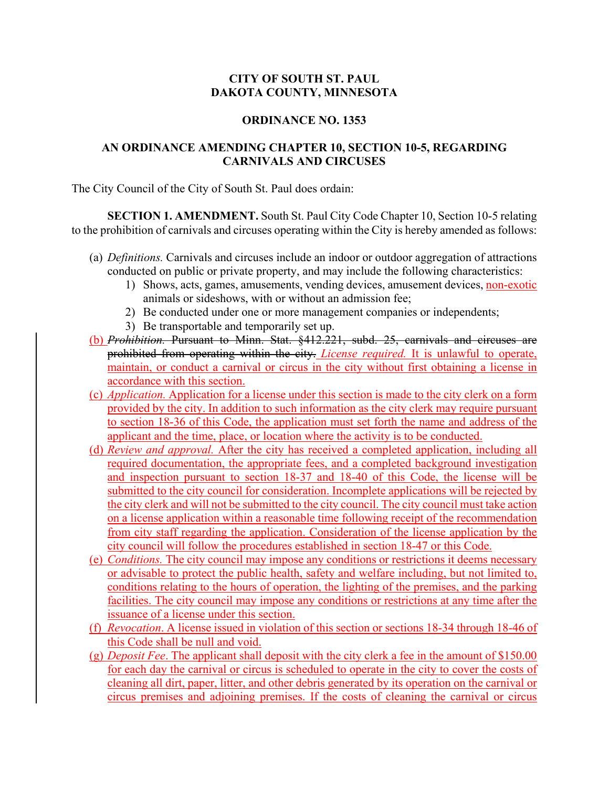## **CITY OF SOUTH ST. PAUL DAKOTA COUNTY, MINNESOTA**

## **ORDINANCE NO. 1353**

## **AN ORDINANCE AMENDING CHAPTER 10, SECTION 10-5, REGARDING CARNIVALS AND CIRCUSES**

The City Council of the City of South St. Paul does ordain:

**SECTION 1. AMENDMENT.** South St. Paul City Code Chapter 10, Section 10-5 relating to the prohibition of carnivals and circuses operating within the City is hereby amended as follows:

- (a) *Definitions.* Carnivals and circuses include an indoor or outdoor aggregation of attractions conducted on public or private property, and may include the following characteristics:
	- 1) Shows, acts, games, amusements, vending devices, amusement devices, non-exotic animals or sideshows, with or without an admission fee;
	- 2) Be conducted under one or more management companies or independents;
	- 3) Be transportable and temporarily set up.
- (b) *Prohibition.* Pursuant to Minn. Stat. §412.221, subd. 25, carnivals and circuses are prohibited from operating within the city. *License required.* It is unlawful to operate, maintain, or conduct a carnival or circus in the city without first obtaining a license in accordance with this section.
- (c) *Application.* Application for a license under this section is made to the city clerk on a form provided by the city. In addition to such information as the city clerk may require pursuant to section 18-36 of this Code, the application must set forth the name and address of the applicant and the time, place, or location where the activity is to be conducted.
- (d) *Review and approval.* After the city has received a completed application, including all required documentation, the appropriate fees, and a completed background investigation and inspection pursuant to section 18-37 and 18-40 of this Code, the license will be submitted to the city council for consideration. Incomplete applications will be rejected by the city clerk and will not be submitted to the city council. The city council must take action on a license application within a reasonable time following receipt of the recommendation from city staff regarding the application. Consideration of the license application by the city council will follow the procedures established in section 18-47 or this Code.
- (e) *Conditions.* The city council may impose any conditions or restrictions it deems necessary or advisable to protect the public health, safety and welfare including, but not limited to, conditions relating to the hours of operation, the lighting of the premises, and the parking facilities. The city council may impose any conditions or restrictions at any time after the issuance of a license under this section.
- (f) *Revocation*. A license issued in violation of this section or sections 18-34 through 18-46 of this Code shall be null and void.
- (g) *Deposit Fee*. The applicant shall deposit with the city clerk a fee in the amount of \$150.00 for each day the carnival or circus is scheduled to operate in the city to cover the costs of cleaning all dirt, paper, litter, and other debris generated by its operation on the carnival or circus premises and adjoining premises. If the costs of cleaning the carnival or circus